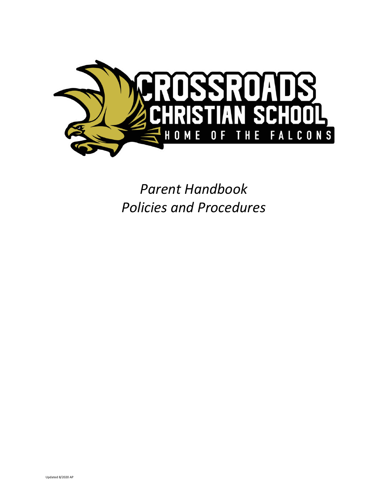

*Parent Handbook Policies and Procedures*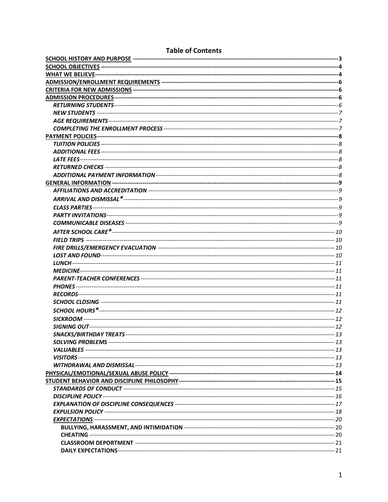# **Table of Contents**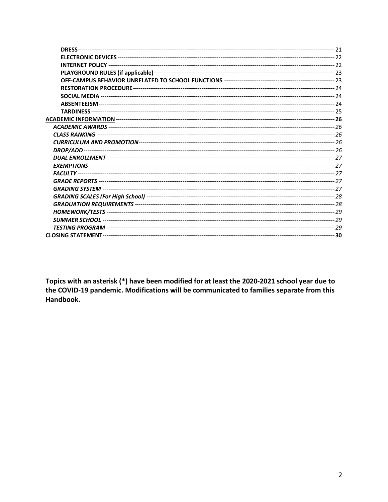Topics with an asterisk (\*) have been modified for at least the 2020-2021 school year due to the COVID-19 pandemic. Modifications will be communicated to families separate from this Handbook.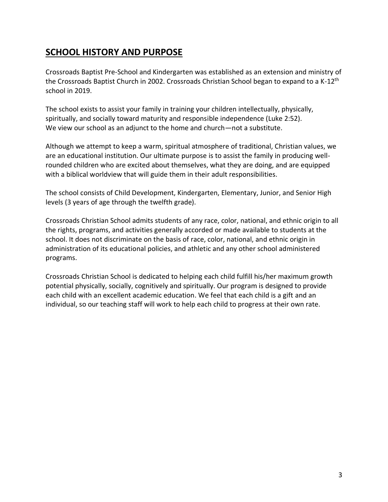# **SCHOOL HISTORY AND PURPOSE**

Crossroads Baptist Pre-School and Kindergarten was established as an extension and ministry of the Crossroads Baptist Church in 2002. Crossroads Christian School began to expand to a K-12<sup>th</sup> school in 2019.

The school exists to assist your family in training your children intellectually, physically, spiritually, and socially toward maturity and responsible independence (Luke 2:52). We view our school as an adjunct to the home and church—not a substitute.

Although we attempt to keep a warm, spiritual atmosphere of traditional, Christian values, we are an educational institution. Our ultimate purpose is to assist the family in producing wellrounded children who are excited about themselves, what they are doing, and are equipped with a biblical worldview that will guide them in their adult responsibilities.

The school consists of Child Development, Kindergarten, Elementary, Junior, and Senior High levels (3 years of age through the twelfth grade).

Crossroads Christian School admits students of any race, color, national, and ethnic origin to all the rights, programs, and activities generally accorded or made available to students at the school. It does not discriminate on the basis of race, color, national, and ethnic origin in administration of its educational policies, and athletic and any other school administered programs.

Crossroads Christian School is dedicated to helping each child fulfill his/her maximum growth potential physically, socially, cognitively and spiritually. Our program is designed to provide each child with an excellent academic education. We feel that each child is a gift and an individual, so our teaching staff will work to help each child to progress at their own rate.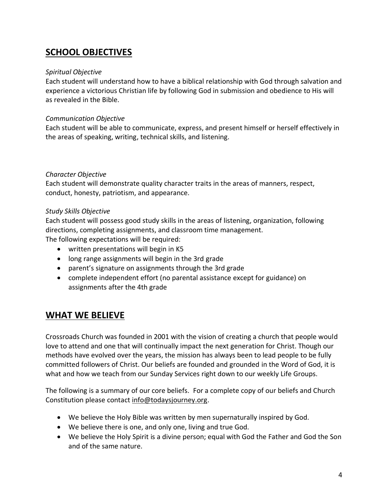# **SCHOOL OBJECTIVES**

#### *Spiritual Objective*

Each student will understand how to have a biblical relationship with God through salvation and experience a victorious Christian life by following God in submission and obedience to His will as revealed in the Bible.

#### *Communication Objective*

Each student will be able to communicate, express, and present himself or herself effectively in the areas of speaking, writing, technical skills, and listening.

#### *Character Objective*

Each student will demonstrate quality character traits in the areas of manners, respect, conduct, honesty, patriotism, and appearance.

#### *Study Skills Objective*

Each student will possess good study skills in the areas of listening, organization, following directions, completing assignments, and classroom time management.

The following expectations will be required:

- written presentations will begin in K5
- long range assignments will begin in the 3rd grade
- parent's signature on assignments through the 3rd grade
- complete independent effort (no parental assistance except for guidance) on assignments after the 4th grade

# **WHAT WE BELIEVE**

Crossroads Church was founded in 2001 with the vision of creating a church that people would love to attend and one that will continually impact the next generation for Christ. Though our methods have evolved over the years, the mission has always been to lead people to be fully committed followers of Christ. Our beliefs are founded and grounded in the Word of God, it is what and how we teach from our Sunday Services right down to our weekly Life Groups.

The following is a summary of our core beliefs. For a complete copy of our beliefs and Church Constitution please contact [info@todaysjourney.org.](mailto:info@todaysjourney.org?subject=Church%20Constitution%20request)

- We believe the Holy Bible was written by men supernaturally inspired by God.
- We believe there is one, and only one, living and true God.
- We believe the Holy Spirit is a divine person; equal with God the Father and God the Son and of the same nature.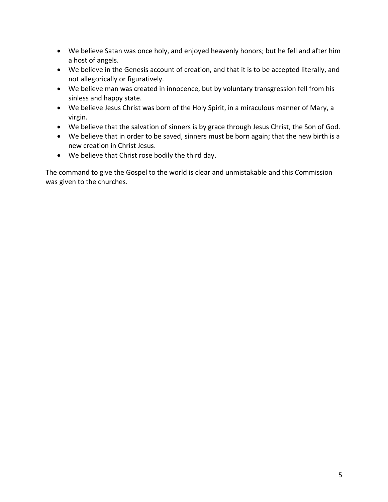- We believe Satan was once holy, and enjoyed heavenly honors; but he fell and after him a host of angels.
- We believe in the Genesis account of creation, and that it is to be accepted literally, and not allegorically or figuratively.
- We believe man was created in innocence, but by voluntary transgression fell from his sinless and happy state.
- We believe Jesus Christ was born of the Holy Spirit, in a miraculous manner of Mary, a virgin.
- We believe that the salvation of sinners is by grace through Jesus Christ, the Son of God.
- We believe that in order to be saved, sinners must be born again; that the new birth is a new creation in Christ Jesus.
- We believe that Christ rose bodily the third day.

The command to give the Gospel to the world is clear and unmistakable and this Commission was given to the churches.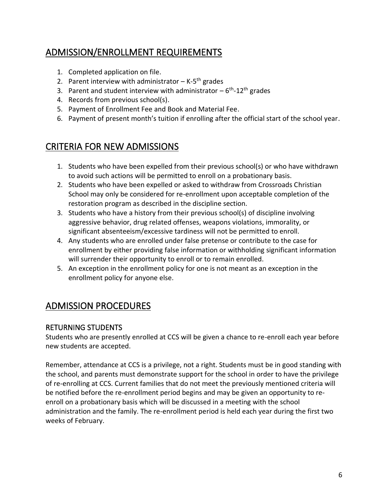# ADMISSION/ENROLLMENT REQUIREMENTS

- 1. Completed application on file.
- 2. Parent interview with administrator K-5<sup>th</sup> grades
- 3. Parent and student interview with administrator  $-6$ <sup>th</sup>-12<sup>th</sup> grades
- 4. Records from previous school(s).
- 5. Payment of Enrollment Fee and Book and Material Fee.
- 6. Payment of present month's tuition if enrolling after the official start of the school year.

# CRITERIA FOR NEW ADMISSIONS

- 1. Students who have been expelled from their previous school(s) or who have withdrawn to avoid such actions will be permitted to enroll on a probationary basis.
- 2. Students who have been expelled or asked to withdraw from Crossroads Christian School may only be considered for re-enrollment upon acceptable completion of the restoration program as described in the discipline section.
- 3. Students who have a history from their previous school(s) of discipline involving aggressive behavior, drug related offenses, weapons violations, immorality, or significant absenteeism/excessive tardiness will not be permitted to enroll.
- 4. Any students who are enrolled under false pretense or contribute to the case for enrollment by either providing false information or withholding significant information will surrender their opportunity to enroll or to remain enrolled.
- 5. An exception in the enrollment policy for one is not meant as an exception in the enrollment policy for anyone else.

# ADMISSION PROCEDURES

# RETURNING STUDENTS

Students who are presently enrolled at CCS will be given a chance to re-enroll each year before new students are accepted.

Remember, attendance at CCS is a privilege, not a right. Students must be in good standing with the school, and parents must demonstrate support for the school in order to have the privilege of re-enrolling at CCS. Current families that do not meet the previously mentioned criteria will be notified before the re-enrollment period begins and may be given an opportunity to reenroll on a probationary basis which will be discussed in a meeting with the school administration and the family. The re-enrollment period is held each year during the first two weeks of February.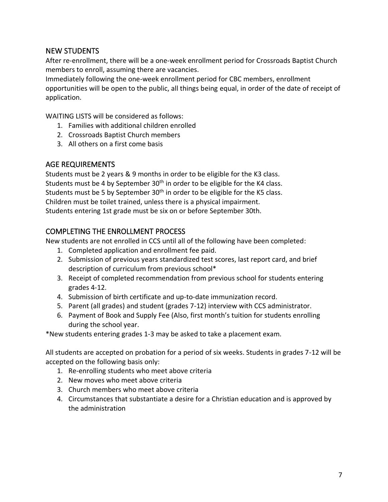# NEW STUDENTS

After re-enrollment, there will be a one-week enrollment period for Crossroads Baptist Church members to enroll, assuming there are vacancies.

Immediately following the one-week enrollment period for CBC members, enrollment opportunities will be open to the public, all things being equal, in order of the date of receipt of application.

WAITING LISTS will be considered as follows:

- 1. Families with additional children enrolled
- 2. Crossroads Baptist Church members
- 3. All others on a first come basis

# AGE REQUIREMENTS

Students must be 2 years & 9 months in order to be eligible for the K3 class. Students must be 4 by September  $30<sup>th</sup>$  in order to be eligible for the K4 class. Students must be 5 by September 30<sup>th</sup> in order to be eligible for the K5 class. Children must be toilet trained, unless there is a physical impairment. Students entering 1st grade must be six on or before September 30th.

# COMPLETING THE ENROLLMENT PROCESS

New students are not enrolled in CCS until all of the following have been completed:

- 1. Completed application and enrollment fee paid.
- 2. Submission of previous years standardized test scores, last report card, and brief description of curriculum from previous school\*
- 3. Receipt of completed recommendation from previous school for students entering grades 4-12.
- 4. Submission of birth certificate and up-to-date immunization record.
- 5. Parent (all grades) and student (grades 7-12) interview with CCS administrator.
- 6. Payment of Book and Supply Fee (Also, first month's tuition for students enrolling during the school year.

\*New students entering grades 1-3 may be asked to take a placement exam.

All students are accepted on probation for a period of six weeks. Students in grades 7-12 will be accepted on the following basis only:

- 1. Re-enrolling students who meet above criteria
- 2. New moves who meet above criteria
- 3. Church members who meet above criteria
- 4. Circumstances that substantiate a desire for a Christian education and is approved by the administration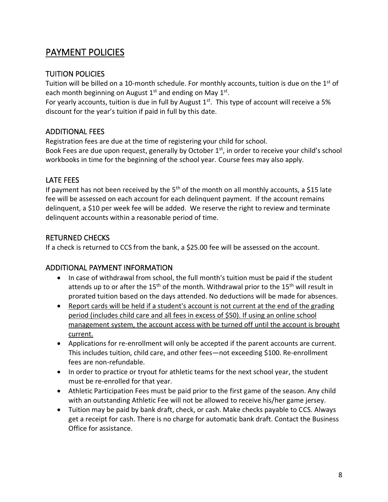# PAYMENT POLICIES

# TUITION POLICIES

Tuition will be billed on a 10-month schedule. For monthly accounts, tuition is due on the 1<sup>st</sup> of each month beginning on August  $1<sup>st</sup>$  and ending on May  $1<sup>st</sup>$ .

For yearly accounts, tuition is due in full by August  $1<sup>st</sup>$ . This type of account will receive a 5% discount for the year's tuition if paid in full by this date.

# ADDITIONAL FEES

Registration fees are due at the time of registering your child for school. Book Fees are due upon request, generally by October 1<sup>st</sup>, in order to receive your child's school workbooks in time for the beginning of the school year. Course fees may also apply.

# LATE FEES

If payment has not been received by the  $5<sup>th</sup>$  of the month on all monthly accounts, a \$15 late fee will be assessed on each account for each delinquent payment. If the account remains delinquent, a \$10 per week fee will be added. We reserve the right to review and terminate delinquent accounts within a reasonable period of time.

# RETURNED CHECKS

If a check is returned to CCS from the bank, a \$25.00 fee will be assessed on the account.

# ADDITIONAL PAYMENT INFORMATION

- In case of withdrawal from school, the full month's tuition must be paid if the student attends up to or after the  $15<sup>th</sup>$  of the month. Withdrawal prior to the  $15<sup>th</sup>$  will result in prorated tuition based on the days attended. No deductions will be made for absences.
- Report cards will be held if a student's account is not current at the end of the grading period (includes child care and all fees in excess of \$50). If using an online school management system, the account access with be turned off until the account is brought current.
- Applications for re-enrollment will only be accepted if the parent accounts are current. This includes tuition, child care, and other fees—not exceeding \$100. Re-enrollment fees are non-refundable.
- In order to practice or tryout for athletic teams for the next school year, the student must be re-enrolled for that year.
- Athletic Participation Fees must be paid prior to the first game of the season. Any child with an outstanding Athletic Fee will not be allowed to receive his/her game jersey.
- Tuition may be paid by bank draft, check, or cash. Make checks payable to CCS. Always get a receipt for cash. There is no charge for automatic bank draft. Contact the Business Office for assistance.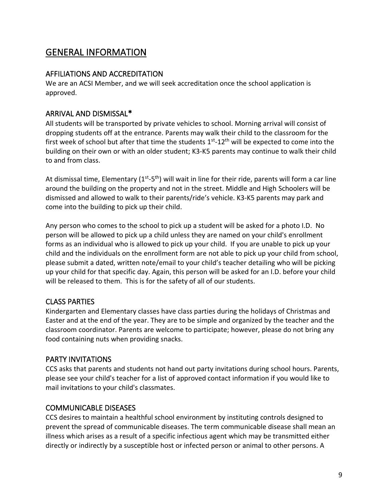# GENERAL INFORMATION

# AFFILIATIONS AND ACCREDITATION

We are an ACSI Member, and we will seek accreditation once the school application is approved.

# ARRIVAL AND DISMISSAL\*

All students will be transported by private vehicles to school. Morning arrival will consist of dropping students off at the entrance. Parents may walk their child to the classroom for the first week of school but after that time the students  $1<sup>st</sup>$ -12<sup>th</sup> will be expected to come into the building on their own or with an older student; K3-K5 parents may continue to walk their child to and from class.

At dismissal time, Elementary (1<sup>st</sup>-5<sup>th</sup>) will wait in line for their ride, parents will form a car line around the building on the property and not in the street. Middle and High Schoolers will be dismissed and allowed to walk to their parents/ride's vehicle. K3-K5 parents may park and come into the building to pick up their child.

Any person who comes to the school to pick up a student will be asked for a photo I.D. No person will be allowed to pick up a child unless they are named on your child's enrollment forms as an individual who is allowed to pick up your child. If you are unable to pick up your child and the individuals on the enrollment form are not able to pick up your child from school, please submit a dated, written note/email to your child's teacher detailing who will be picking up your child for that specific day. Again, this person will be asked for an I.D. before your child will be released to them. This is for the safety of all of our students.

# CLASS PARTIES

Kindergarten and Elementary classes have class parties during the holidays of Christmas and Easter and at the end of the year. They are to be simple and organized by the teacher and the classroom coordinator. Parents are welcome to participate; however, please do not bring any food containing nuts when providing snacks.

# PARTY INVITATIONS

CCS asks that parents and students not hand out party invitations during school hours. Parents, please see your child's teacher for a list of approved contact information if you would like to mail invitations to your child's classmates.

# COMMUNICABLE DISEASES

CCS desires to maintain a healthful school environment by instituting controls designed to prevent the spread of communicable diseases. The term communicable disease shall mean an illness which arises as a result of a specific infectious agent which may be transmitted either directly or indirectly by a susceptible host or infected person or animal to other persons. A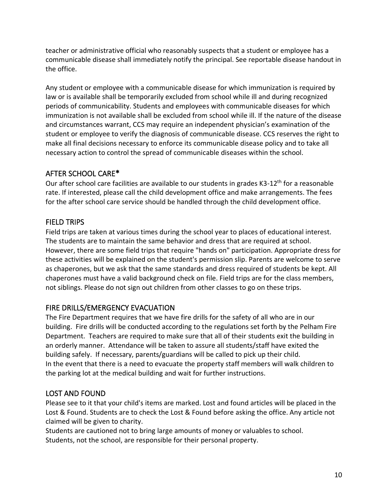teacher or administrative official who reasonably suspects that a student or employee has a communicable disease shall immediately notify the principal. See reportable disease handout in the office.

Any student or employee with a communicable disease for which immunization is required by law or is available shall be temporarily excluded from school while ill and during recognized periods of communicability. Students and employees with communicable diseases for which immunization is not available shall be excluded from school while ill. If the nature of the disease and circumstances warrant, CCS may require an independent physician's examination of the student or employee to verify the diagnosis of communicable disease. CCS reserves the right to make all final decisions necessary to enforce its communicable disease policy and to take all necessary action to control the spread of communicable diseases within the school.

# AFTER SCHOOL CARE\*

Our after school care facilities are available to our students in grades K3-12<sup>th</sup> for a reasonable rate. If interested, please call the child development office and make arrangements. The fees for the after school care service should be handled through the child development office.

# FIELD TRIPS

Field trips are taken at various times during the school year to places of educational interest. The students are to maintain the same behavior and dress that are required at school. However, there are some field trips that require "hands on" participation. Appropriate dress for these activities will be explained on the student's permission slip. Parents are welcome to serve as chaperones, but we ask that the same standards and dress required of students be kept. All chaperones must have a valid background check on file. Field trips are for the class members, not siblings. Please do not sign out children from other classes to go on these trips.

# FIRE DRILLS/EMERGENCY EVACUATION

The Fire Department requires that we have fire drills for the safety of all who are in our building. Fire drills will be conducted according to the regulations set forth by the Pelham Fire Department. Teachers are required to make sure that all of their students exit the building in an orderly manner. Attendance will be taken to assure all students/staff have exited the building safely. If necessary, parents/guardians will be called to pick up their child. In the event that there is a need to evacuate the property staff members will walk children to the parking lot at the medical building and wait for further instructions.

# LOST AND FOUND

Please see to it that your child's items are marked. Lost and found articles will be placed in the Lost & Found. Students are to check the Lost & Found before asking the office. Any article not claimed will be given to charity.

Students are cautioned not to bring large amounts of money or valuables to school. Students, not the school, are responsible for their personal property.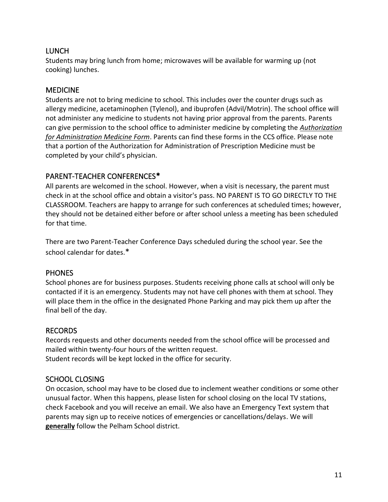# LUNCH

Students may bring lunch from home; microwaves will be available for warming up (not cooking) lunches.

# MEDICINE

Students are not to bring medicine to school. This includes over the counter drugs such as allergy medicine, acetaminophen (Tylenol), and ibuprofen (Advil/Motrin). The school office will not administer any medicine to students not having prior approval from the parents. Parents can give permission to the school office to administer medicine by completing the *Authorization for Administration Medicine Form*. Parents can find these forms in the CCS office. Please note that a portion of the Authorization for Administration of Prescription Medicine must be completed by your child's physician.

# PARENT-TEACHER CONFERENCES\*

All parents are welcomed in the school. However, when a visit is necessary, the parent must check in at the school office and obtain a visitor's pass. NO PARENT IS TO GO DIRECTLY TO THE CLASSROOM. Teachers are happy to arrange for such conferences at scheduled times; however, they should not be detained either before or after school unless a meeting has been scheduled for that time.

There are two Parent-Teacher Conference Days scheduled during the school year. See the school calendar for dates.\*

# **PHONES**

School phones are for business purposes. Students receiving phone calls at school will only be contacted if it is an emergency. Students may not have cell phones with them at school. They will place them in the office in the designated Phone Parking and may pick them up after the final bell of the day.

# RECORDS

Records requests and other documents needed from the school office will be processed and mailed within twenty-four hours of the written request. Student records will be kept locked in the office for security.

# SCHOOL CLOSING

On occasion, school may have to be closed due to inclement weather conditions or some other unusual factor. When this happens, please listen for school closing on the local TV stations, check Facebook and you will receive an email. We also have an Emergency Text system that parents may sign up to receive notices of emergencies or cancellations/delays. We will **generally** follow the Pelham School district.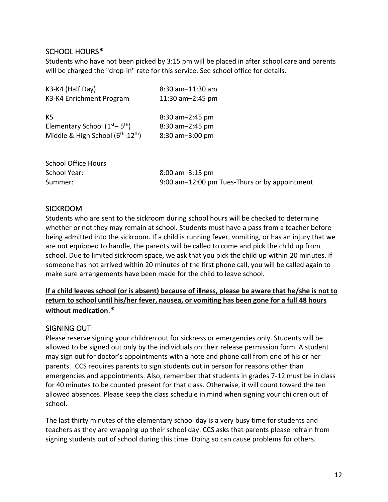# SCHOOL HOURS\*

Students who have not been picked by 3:15 pm will be placed in after school care and parents will be charged the "drop-in" rate for this service. See school office for details.

| 8:30 am-11:30 am |
|------------------|
| 11:30 am-2:45 pm |
|                  |
| 8:30 am-2:45 pm  |
| 8:30 am-2:45 pm  |
| 8:30 am-3:00 pm  |
|                  |

| <b>School Office Hours</b> |                                               |
|----------------------------|-----------------------------------------------|
| School Year:               | $8:00$ am-3:15 pm                             |
| Summer:                    | 9:00 am-12:00 pm Tues-Thurs or by appointment |

# SICKROOM

Students who are sent to the sickroom during school hours will be checked to determine whether or not they may remain at school. Students must have a pass from a teacher before being admitted into the sickroom. If a child is running fever, vomiting, or has an injury that we are not equipped to handle, the parents will be called to come and pick the child up from school. Due to limited sickroom space, we ask that you pick the child up within 20 minutes. If someone has not arrived within 20 minutes of the first phone call, you will be called again to make sure arrangements have been made for the child to leave school.

### **If a child leaves school (or is absent) because of illness, please be aware that he/she is not to return to school until his/her fever, nausea, or vomiting has been gone for a full 48 hours without medication**.**\***

# SIGNING OUT

Please reserve signing your children out for sickness or emergencies only. Students will be allowed to be signed out only by the individuals on their release permission form. A student may sign out for doctor's appointments with a note and phone call from one of his or her parents. CCS requires parents to sign students out in person for reasons other than emergencies and appointments. Also, remember that students in grades 7-12 must be in class for 40 minutes to be counted present for that class. Otherwise, it will count toward the ten allowed absences. Please keep the class schedule in mind when signing your children out of school.

The last thirty minutes of the elementary school day is a very busy time for students and teachers as they are wrapping up their school day. CCS asks that parents please refrain from signing students out of school during this time. Doing so can cause problems for others.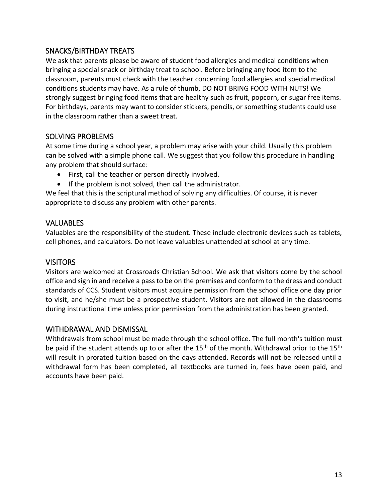# SNACKS/BIRTHDAY TREATS

We ask that parents please be aware of student food allergies and medical conditions when bringing a special snack or birthday treat to school. Before bringing any food item to the classroom, parents must check with the teacher concerning food allergies and special medical conditions students may have. As a rule of thumb, DO NOT BRING FOOD WITH NUTS! We strongly suggest bringing food items that are healthy such as fruit, popcorn, or sugar free items. For birthdays, parents may want to consider stickers, pencils, or something students could use in the classroom rather than a sweet treat.

# SOLVING PROBLEMS

At some time during a school year, a problem may arise with your child. Usually this problem can be solved with a simple phone call. We suggest that you follow this procedure in handling any problem that should surface:

- First, call the teacher or person directly involved.
- If the problem is not solved, then call the administrator.

We feel that this is the scriptural method of solving any difficulties. Of course, it is never appropriate to discuss any problem with other parents.

# VALUABLES

Valuables are the responsibility of the student. These include electronic devices such as tablets, cell phones, and calculators. Do not leave valuables unattended at school at any time.

# VISITORS

Visitors are welcomed at Crossroads Christian School. We ask that visitors come by the school office and sign in and receive a pass to be on the premises and conform to the dress and conduct standards of CCS. Student visitors must acquire permission from the school office one day prior to visit, and he/she must be a prospective student. Visitors are not allowed in the classrooms during instructional time unless prior permission from the administration has been granted.

# WITHDRAWAL AND DISMISSAL

Withdrawals from school must be made through the school office. The full month's tuition must be paid if the student attends up to or after the 15<sup>th</sup> of the month. Withdrawal prior to the 15<sup>th</sup> will result in prorated tuition based on the days attended. Records will not be released until a withdrawal form has been completed, all textbooks are turned in, fees have been paid, and accounts have been paid.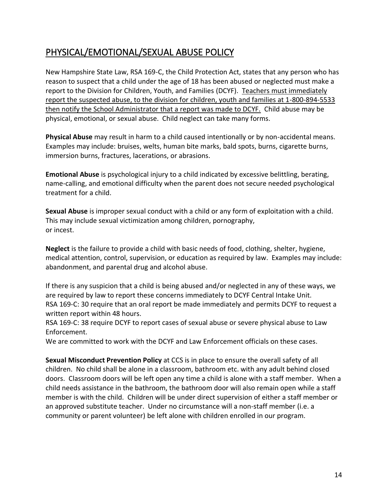# PHYSICAL/EMOTIONAL/SEXUAL ABUSE POLICY

New Hampshire State Law, RSA 169-C, the Child Protection Act, states that any person who has reason to suspect that a child under the age of 18 has been abused or neglected must make a report to the Division for Children, Youth, and Families (DCYF). Teachers must immediately report the suspected abuse, to the division for children, youth and families at 1-800-894-5533 then notify the School Administrator that a report was made to DCYF. Child abuse may be physical, emotional, or sexual abuse. Child neglect can take many forms.

**Physical Abuse** may result in harm to a child caused intentionally or by non-accidental means. Examples may include: bruises, welts, human bite marks, bald spots, burns, cigarette burns, immersion burns, fractures, lacerations, or abrasions.

**Emotional Abuse** is psychological injury to a child indicated by excessive belittling, berating, name-calling, and emotional difficulty when the parent does not secure needed psychological treatment for a child.

**Sexual Abuse** is improper sexual conduct with a child or any form of exploitation with a child. This may include sexual victimization among children, pornography, or incest.

**Neglect** is the failure to provide a child with basic needs of food, clothing, shelter, hygiene, medical attention, control, supervision, or education as required by law. Examples may include: abandonment, and parental drug and alcohol abuse.

If there is any suspicion that a child is being abused and/or neglected in any of these ways, we are required by law to report these concerns immediately to DCYF Central Intake Unit. RSA 169-C: 30 require that an oral report be made immediately and permits DCYF to request a written report within 48 hours.

RSA 169-C: 38 require DCYF to report cases of sexual abuse or severe physical abuse to Law Enforcement.

We are committed to work with the DCYF and Law Enforcement officials on these cases.

**Sexual Misconduct Prevention Policy** at CCS is in place to ensure the overall safety of all children. No child shall be alone in a classroom, bathroom etc. with any adult behind closed doors. Classroom doors will be left open any time a child is alone with a staff member. When a child needs assistance in the bathroom, the bathroom door will also remain open while a staff member is with the child. Children will be under direct supervision of either a staff member or an approved substitute teacher. Under no circumstance will a non-staff member (i.e. a community or parent volunteer) be left alone with children enrolled in our program.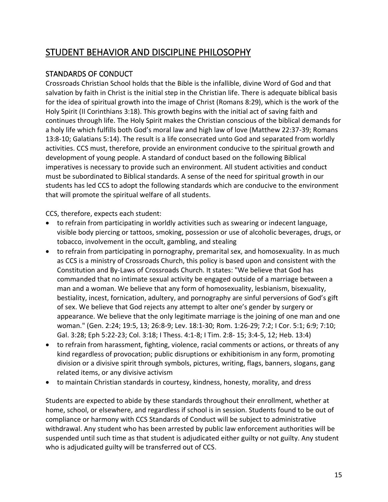# STUDENT BEHAVIOR AND DISCIPLINE PHILOSOPHY

# STANDARDS OF CONDUCT

Crossroads Christian School holds that the Bible is the infallible, divine Word of God and that salvation by faith in Christ is the initial step in the Christian life. There is adequate biblical basis for the idea of spiritual growth into the image of Christ (Romans 8:29), which is the work of the Holy Spirit (II Corinthians 3:18). This growth begins with the initial act of saving faith and continues through life. The Holy Spirit makes the Christian conscious of the biblical demands for a holy life which fulfills both God's moral law and high law of love (Matthew 22:37-39; Romans 13:8-10; Galatians 5:14). The result is a life consecrated unto God and separated from worldly activities. CCS must, therefore, provide an environment conducive to the spiritual growth and development of young people. A standard of conduct based on the following Biblical imperatives is necessary to provide such an environment. All student activities and conduct must be subordinated to Biblical standards. A sense of the need for spiritual growth in our students has led CCS to adopt the following standards which are conducive to the environment that will promote the spiritual welfare of all students.

CCS, therefore, expects each student:

- to refrain from participating in worldly activities such as swearing or indecent language, visible body piercing or tattoos, smoking, possession or use of alcoholic beverages, drugs, or tobacco, involvement in the occult, gambling, and stealing
- to refrain from participating in pornography, premarital sex, and homosexuality. In as much as CCS is a ministry of Crossroads Church, this policy is based upon and consistent with the Constitution and By-Laws of Crossroads Church. It states: "We believe that God has commanded that no intimate sexual activity be engaged outside of a marriage between a man and a woman. We believe that any form of homosexuality, lesbianism, bisexuality, bestiality, incest, fornication, adultery, and pornography are sinful perversions of God's gift of sex. We believe that God rejects any attempt to alter one's gender by surgery or appearance. We believe that the only legitimate marriage is the joining of one man and one woman." (Gen. 2:24; 19:5, 13; 26:8-9; Lev. 18:1-30; Rom. 1:26-29; 7:2; I Cor. 5:1; 6:9; 7:10; Gal. 3:28; Eph 5:22-23; Col. 3:18; I Thess. 4:1-8; I Tim. 2:8- 15; 3:4-5, 12; Heb. 13:4)
- to refrain from harassment, fighting, violence, racial comments or actions, or threats of any kind regardless of provocation; public disruptions or exhibitionism in any form, promoting division or a divisive spirit through symbols, pictures, writing, flags, banners, slogans, gang related items, or any divisive activism
- to maintain Christian standards in courtesy, kindness, honesty, morality, and dress

Students are expected to abide by these standards throughout their enrollment, whether at home, school, or elsewhere, and regardless if school is in session. Students found to be out of compliance or harmony with CCS Standards of Conduct will be subject to administrative withdrawal. Any student who has been arrested by public law enforcement authorities will be suspended until such time as that student is adjudicated either guilty or not guilty. Any student who is adjudicated guilty will be transferred out of CCS.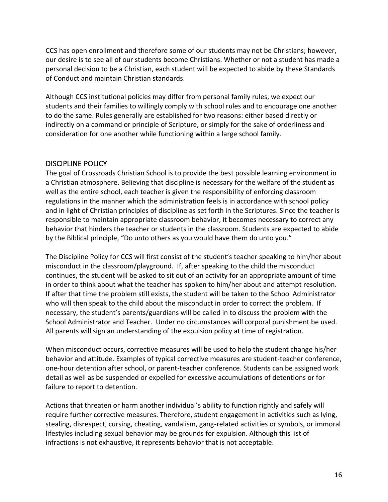CCS has open enrollment and therefore some of our students may not be Christians; however, our desire is to see all of our students become Christians. Whether or not a student has made a personal decision to be a Christian, each student will be expected to abide by these Standards of Conduct and maintain Christian standards.

Although CCS institutional policies may differ from personal family rules, we expect our students and their families to willingly comply with school rules and to encourage one another to do the same. Rules generally are established for two reasons: either based directly or indirectly on a command or principle of Scripture, or simply for the sake of orderliness and consideration for one another while functioning within a large school family.

### DISCIPLINE POLICY

The goal of Crossroads Christian School is to provide the best possible learning environment in a Christian atmosphere. Believing that discipline is necessary for the welfare of the student as well as the entire school, each teacher is given the responsibility of enforcing classroom regulations in the manner which the administration feels is in accordance with school policy and in light of Christian principles of discipline as set forth in the Scriptures. Since the teacher is responsible to maintain appropriate classroom behavior, it becomes necessary to correct any behavior that hinders the teacher or students in the classroom. Students are expected to abide by the Biblical principle, "Do unto others as you would have them do unto you."

The Discipline Policy for CCS will first consist of the student's teacher speaking to him/her about misconduct in the classroom/playground. If, after speaking to the child the misconduct continues, the student will be asked to sit out of an activity for an appropriate amount of time in order to think about what the teacher has spoken to him/her about and attempt resolution. If after that time the problem still exists, the student will be taken to the School Administrator who will then speak to the child about the misconduct in order to correct the problem. If necessary, the student's parents/guardians will be called in to discuss the problem with the School Administrator and Teacher. Under no circumstances will corporal punishment be used. All parents will sign an understanding of the expulsion policy at time of registration.

When misconduct occurs, corrective measures will be used to help the student change his/her behavior and attitude. Examples of typical corrective measures are student-teacher conference, one-hour detention after school, or parent-teacher conference. Students can be assigned work detail as well as be suspended or expelled for excessive accumulations of detentions or for failure to report to detention.

Actions that threaten or harm another individual's ability to function rightly and safely will require further corrective measures. Therefore, student engagement in activities such as lying, stealing, disrespect, cursing, cheating, vandalism, gang-related activities or symbols, or immoral lifestyles including sexual behavior may be grounds for expulsion. Although this list of infractions is not exhaustive, it represents behavior that is not acceptable.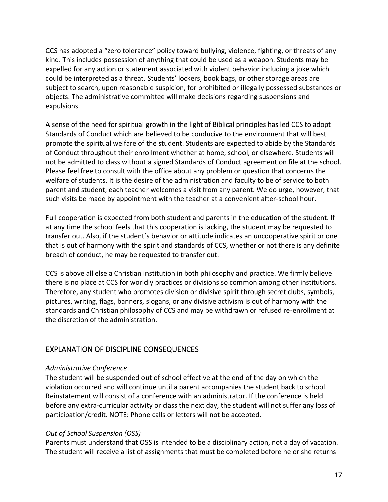CCS has adopted a "zero tolerance" policy toward bullying, violence, fighting, or threats of any kind. This includes possession of anything that could be used as a weapon. Students may be expelled for any action or statement associated with violent behavior including a joke which could be interpreted as a threat. Students' lockers, book bags, or other storage areas are subject to search, upon reasonable suspicion, for prohibited or illegally possessed substances or objects. The administrative committee will make decisions regarding suspensions and expulsions.

A sense of the need for spiritual growth in the light of Biblical principles has led CCS to adopt Standards of Conduct which are believed to be conducive to the environment that will best promote the spiritual welfare of the student. Students are expected to abide by the Standards of Conduct throughout their enrollment whether at home, school, or elsewhere. Students will not be admitted to class without a signed Standards of Conduct agreement on file at the school. Please feel free to consult with the office about any problem or question that concerns the welfare of students. It is the desire of the administration and faculty to be of service to both parent and student; each teacher welcomes a visit from any parent. We do urge, however, that such visits be made by appointment with the teacher at a convenient after-school hour.

Full cooperation is expected from both student and parents in the education of the student. If at any time the school feels that this cooperation is lacking, the student may be requested to transfer out. Also, if the student's behavior or attitude indicates an uncooperative spirit or one that is out of harmony with the spirit and standards of CCS, whether or not there is any definite breach of conduct, he may be requested to transfer out.

CCS is above all else a Christian institution in both philosophy and practice. We firmly believe there is no place at CCS for worldly practices or divisions so common among other institutions. Therefore, any student who promotes division or divisive spirit through secret clubs, symbols, pictures, writing, flags, banners, slogans, or any divisive activism is out of harmony with the standards and Christian philosophy of CCS and may be withdrawn or refused re-enrollment at the discretion of the administration.

# EXPLANATION OF DISCIPLINE CONSEQUENCES

#### *Administrative Conference*

The student will be suspended out of school effective at the end of the day on which the violation occurred and will continue until a parent accompanies the student back to school. Reinstatement will consist of a conference with an administrator. If the conference is held before any extra-curricular activity or class the next day, the student will not suffer any loss of participation/credit. NOTE: Phone calls or letters will not be accepted.

#### *Out of School Suspension (OSS)*

Parents must understand that OSS is intended to be a disciplinary action, not a day of vacation. The student will receive a list of assignments that must be completed before he or she returns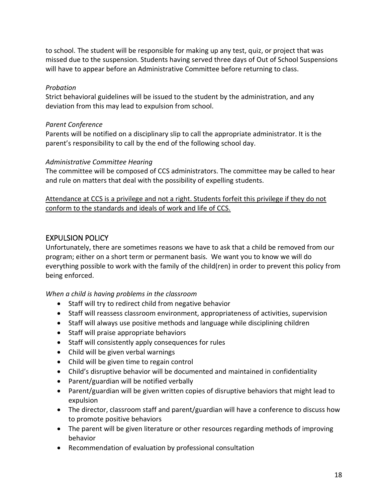to school. The student will be responsible for making up any test, quiz, or project that was missed due to the suspension. Students having served three days of Out of School Suspensions will have to appear before an Administrative Committee before returning to class.

#### *Probation*

Strict behavioral guidelines will be issued to the student by the administration, and any deviation from this may lead to expulsion from school.

#### *Parent Conference*

Parents will be notified on a disciplinary slip to call the appropriate administrator. It is the parent's responsibility to call by the end of the following school day.

#### *Administrative Committee Hearing*

The committee will be composed of CCS administrators. The committee may be called to hear and rule on matters that deal with the possibility of expelling students.

Attendance at CCS is a privilege and not a right. Students forfeit this privilege if they do not conform to the standards and ideals of work and life of CCS.

# EXPULSION POLICY

Unfortunately, there are sometimes reasons we have to ask that a child be removed from our program; either on a short term or permanent basis. We want you to know we will do everything possible to work with the family of the child(ren) in order to prevent this policy from being enforced.

#### *When a child is having problems in the classroom*

- Staff will try to redirect child from negative behavior
- Staff will reassess classroom environment, appropriateness of activities, supervision
- Staff will always use positive methods and language while disciplining children
- Staff will praise appropriate behaviors
- Staff will consistently apply consequences for rules
- Child will be given verbal warnings
- Child will be given time to regain control
- Child's disruptive behavior will be documented and maintained in confidentiality
- Parent/guardian will be notified verbally
- Parent/guardian will be given written copies of disruptive behaviors that might lead to expulsion
- The director, classroom staff and parent/guardian will have a conference to discuss how to promote positive behaviors
- The parent will be given literature or other resources regarding methods of improving behavior
- Recommendation of evaluation by professional consultation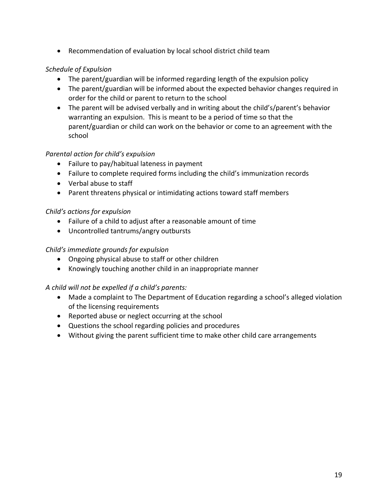• Recommendation of evaluation by local school district child team

### *Schedule of Expulsion*

- The parent/guardian will be informed regarding length of the expulsion policy
- The parent/guardian will be informed about the expected behavior changes required in order for the child or parent to return to the school
- The parent will be advised verbally and in writing about the child's/parent's behavior warranting an expulsion. This is meant to be a period of time so that the parent/guardian or child can work on the behavior or come to an agreement with the school

#### *Parental action for child's expulsion*

- Failure to pay/habitual lateness in payment
- Failure to complete required forms including the child's immunization records
- Verbal abuse to staff
- Parent threatens physical or intimidating actions toward staff members

#### *Child's actions for expulsion*

- Failure of a child to adjust after a reasonable amount of time
- Uncontrolled tantrums/angry outbursts

#### *Child's immediate grounds for expulsion*

- Ongoing physical abuse to staff or other children
- Knowingly touching another child in an inappropriate manner

#### *A child will not be expelled if a child's parents:*

- Made a complaint to The Department of Education regarding a school's alleged violation of the licensing requirements
- Reported abuse or neglect occurring at the school
- Questions the school regarding policies and procedures
- Without giving the parent sufficient time to make other child care arrangements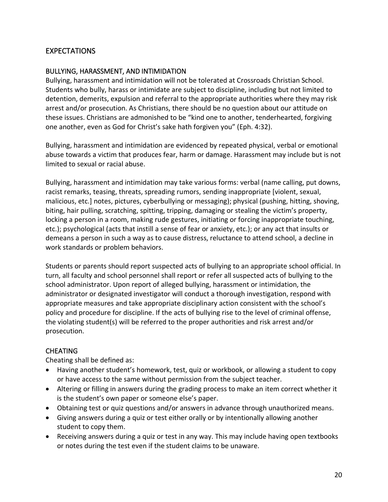# EXPECTATIONS

#### BULLYING, HARASSMENT, AND INTIMIDATION

Bullying, harassment and intimidation will not be tolerated at Crossroads Christian School. Students who bully, harass or intimidate are subject to discipline, including but not limited to detention, demerits, expulsion and referral to the appropriate authorities where they may risk arrest and/or prosecution. As Christians, there should be no question about our attitude on these issues. Christians are admonished to be "kind one to another, tenderhearted, forgiving one another, even as God for Christ's sake hath forgiven you" (Eph. 4:32).

Bullying, harassment and intimidation are evidenced by repeated physical, verbal or emotional abuse towards a victim that produces fear, harm or damage. Harassment may include but is not limited to sexual or racial abuse.

Bullying, harassment and intimidation may take various forms: verbal (name calling, put downs, racist remarks, teasing, threats, spreading rumors, sending inappropriate [violent, sexual, malicious, etc.] notes, pictures, cyberbullying or messaging); physical (pushing, hitting, shoving, biting, hair pulling, scratching, spitting, tripping, damaging or stealing the victim's property, locking a person in a room, making rude gestures, initiating or forcing inappropriate touching, etc.); psychological (acts that instill a sense of fear or anxiety, etc.); or any act that insults or demeans a person in such a way as to cause distress, reluctance to attend school, a decline in work standards or problem behaviors.

Students or parents should report suspected acts of bullying to an appropriate school official. In turn, all faculty and school personnel shall report or refer all suspected acts of bullying to the school administrator. Upon report of alleged bullying, harassment or intimidation, the administrator or designated investigator will conduct a thorough investigation, respond with appropriate measures and take appropriate disciplinary action consistent with the school's policy and procedure for discipline. If the acts of bullying rise to the level of criminal offense, the violating student(s) will be referred to the proper authorities and risk arrest and/or prosecution.

#### CHEATING

Cheating shall be defined as:

- Having another student's homework, test, quiz or workbook, or allowing a student to copy or have access to the same without permission from the subject teacher.
- Altering or filling in answers during the grading process to make an item correct whether it is the student's own paper or someone else's paper.
- Obtaining test or quiz questions and/or answers in advance through unauthorized means.
- Giving answers during a quiz or test either orally or by intentionally allowing another student to copy them.
- Receiving answers during a quiz or test in any way. This may include having open textbooks or notes during the test even if the student claims to be unaware.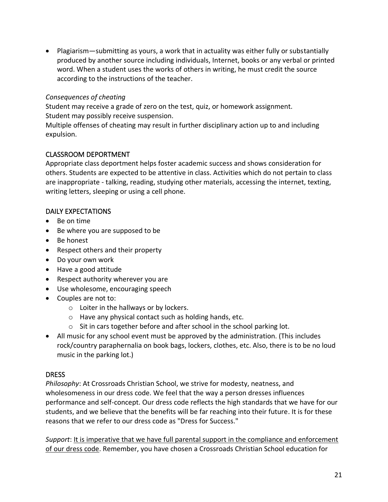• Plagiarism—submitting as yours, a work that in actuality was either fully or substantially produced by another source including individuals, Internet, books or any verbal or printed word. When a student uses the works of others in writing, he must credit the source according to the instructions of the teacher.

#### *Consequences of cheating*

Student may receive a grade of zero on the test, quiz, or homework assignment. Student may possibly receive suspension.

Multiple offenses of cheating may result in further disciplinary action up to and including expulsion.

#### CLASSROOM DEPORTMENT

Appropriate class deportment helps foster academic success and shows consideration for others. Students are expected to be attentive in class. Activities which do not pertain to class are inappropriate - talking, reading, studying other materials, accessing the internet, texting, writing letters, sleeping or using a cell phone.

#### DAILY EXPECTATIONS

- Be on time
- Be where you are supposed to be
- Be honest
- Respect others and their property
- Do your own work
- Have a good attitude
- Respect authority wherever you are
- Use wholesome, encouraging speech
- Couples are not to:
	- o Loiter in the hallways or by lockers.
	- o Have any physical contact such as holding hands, etc.
	- o Sit in cars together before and after school in the school parking lot.
- All music for any school event must be approved by the administration. (This includes rock/country paraphernalia on book bags, lockers, clothes, etc. Also, there is to be no loud music in the parking lot.)

#### **DRESS**

*Philosophy*: At Crossroads Christian School, we strive for modesty, neatness, and wholesomeness in our dress code. We feel that the way a person dresses influences performance and self-concept. Our dress code reflects the high standards that we have for our students, and we believe that the benefits will be far reaching into their future. It is for these reasons that we refer to our dress code as "Dress for Success."

*Support*: It is imperative that we have full parental support in the compliance and enforcement of our dress code. Remember, you have chosen a Crossroads Christian School education for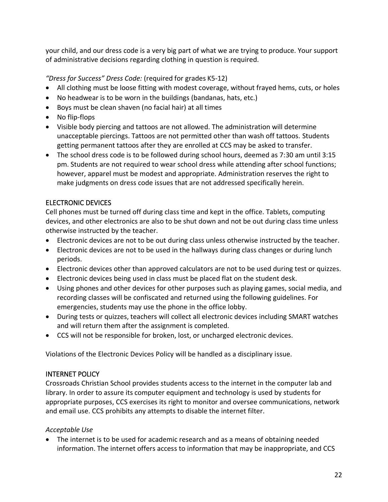your child, and our dress code is a very big part of what we are trying to produce. Your support of administrative decisions regarding clothing in question is required.

# *"Dress for Success" Dress Code:* (required for grades K5-12)

- All clothing must be loose fitting with modest coverage, without frayed hems, cuts, or holes
- No headwear is to be worn in the buildings (bandanas, hats, etc.)
- Boys must be clean shaven (no facial hair) at all times
- No flip-flops
- Visible body piercing and tattoos are not allowed. The administration will determine unacceptable piercings. Tattoos are not permitted other than wash off tattoos. Students getting permanent tattoos after they are enrolled at CCS may be asked to transfer.
- The school dress code is to be followed during school hours, deemed as 7:30 am until 3:15 pm. Students are not required to wear school dress while attending after school functions; however, apparel must be modest and appropriate. Administration reserves the right to make judgments on dress code issues that are not addressed specifically herein.

# ELECTRONIC DEVICES

Cell phones must be turned off during class time and kept in the office. Tablets, computing devices, and other electronics are also to be shut down and not be out during class time unless otherwise instructed by the teacher.

- Electronic devices are not to be out during class unless otherwise instructed by the teacher.
- Electronic devices are not to be used in the hallways during class changes or during lunch periods.
- Electronic devices other than approved calculators are not to be used during test or quizzes.
- Electronic devices being used in class must be placed flat on the student desk.
- Using phones and other devices for other purposes such as playing games, social media, and recording classes will be confiscated and returned using the following guidelines. For emergencies, students may use the phone in the office lobby.
- During tests or quizzes, teachers will collect all electronic devices including SMART watches and will return them after the assignment is completed.
- CCS will not be responsible for broken, lost, or uncharged electronic devices.

Violations of the Electronic Devices Policy will be handled as a disciplinary issue.

#### INTERNET POLICY

Crossroads Christian School provides students access to the internet in the computer lab and library. In order to assure its computer equipment and technology is used by students for appropriate purposes, CCS exercises its right to monitor and oversee communications, network and email use. CCS prohibits any attempts to disable the internet filter.

#### *Acceptable Use*

The internet is to be used for academic research and as a means of obtaining needed information. The internet offers access to information that may be inappropriate, and CCS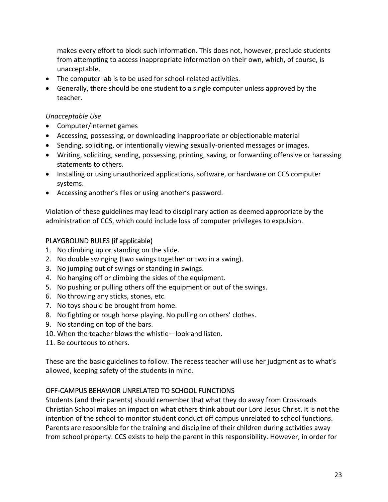makes every effort to block such information. This does not, however, preclude students from attempting to access inappropriate information on their own, which, of course, is unacceptable.

- The computer lab is to be used for school-related activities.
- Generally, there should be one student to a single computer unless approved by the teacher.

#### *Unacceptable Use*

- Computer/internet games
- Accessing, possessing, or downloading inappropriate or objectionable material
- Sending, soliciting, or intentionally viewing sexually-oriented messages or images.
- Writing, soliciting, sending, possessing, printing, saving, or forwarding offensive or harassing statements to others.
- Installing or using unauthorized applications, software, or hardware on CCS computer systems.
- Accessing another's files or using another's password.

Violation of these guidelines may lead to disciplinary action as deemed appropriate by the administration of CCS, which could include loss of computer privileges to expulsion.

# PLAYGROUND RULES (if applicable)

- 1. No climbing up or standing on the slide.
- 2. No double swinging (two swings together or two in a swing).
- 3. No jumping out of swings or standing in swings.
- 4. No hanging off or climbing the sides of the equipment.
- 5. No pushing or pulling others off the equipment or out of the swings.
- 6. No throwing any sticks, stones, etc.
- 7. No toys should be brought from home.
- 8. No fighting or rough horse playing. No pulling on others' clothes.
- 9. No standing on top of the bars.
- 10. When the teacher blows the whistle—look and listen.
- 11. Be courteous to others.

These are the basic guidelines to follow. The recess teacher will use her judgment as to what's allowed, keeping safety of the students in mind.

# OFF-CAMPUS BEHAVIOR UNRELATED TO SCHOOL FUNCTIONS

Students (and their parents) should remember that what they do away from Crossroads Christian School makes an impact on what others think about our Lord Jesus Christ. It is not the intention of the school to monitor student conduct off campus unrelated to school functions. Parents are responsible for the training and discipline of their children during activities away from school property. CCS exists to help the parent in this responsibility. However, in order for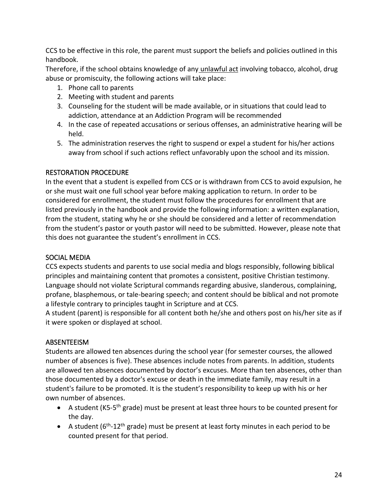CCS to be effective in this role, the parent must support the beliefs and policies outlined in this handbook.

Therefore, if the school obtains knowledge of any unlawful act involving tobacco, alcohol, drug abuse or promiscuity, the following actions will take place:

- 1. Phone call to parents
- 2. Meeting with student and parents
- 3. Counseling for the student will be made available, or in situations that could lead to addiction, attendance at an Addiction Program will be recommended
- 4. In the case of repeated accusations or serious offenses, an administrative hearing will be held.
- 5. The administration reserves the right to suspend or expel a student for his/her actions away from school if such actions reflect unfavorably upon the school and its mission.

#### RESTORATION PROCEDURE

In the event that a student is expelled from CCS or is withdrawn from CCS to avoid expulsion, he or she must wait one full school year before making application to return. In order to be considered for enrollment, the student must follow the procedures for enrollment that are listed previously in the handbook and provide the following information: a written explanation, from the student, stating why he or she should be considered and a letter of recommendation from the student's pastor or youth pastor will need to be submitted. However, please note that this does not guarantee the student's enrollment in CCS.

#### SOCIAL MEDIA

CCS expects students and parents to use social media and blogs responsibly, following biblical principles and maintaining content that promotes a consistent, positive Christian testimony. Language should not violate Scriptural commands regarding abusive, slanderous, complaining, profane, blasphemous, or tale-bearing speech; and content should be biblical and not promote a lifestyle contrary to principles taught in Scripture and at CCS.

A student (parent) is responsible for all content both he/she and others post on his/her site as if it were spoken or displayed at school.

#### ABSENTEEISM

Students are allowed ten absences during the school year (for semester courses, the allowed number of absences is five). These absences include notes from parents. In addition, students are allowed ten absences documented by doctor's excuses. More than ten absences, other than those documented by a doctor's excuse or death in the immediate family, may result in a student's failure to be promoted. It is the student's responsibility to keep up with his or her own number of absences.

- A student (K5-5<sup>th</sup> grade) must be present at least three hours to be counted present for the day.
- A student ( $6<sup>th</sup>$ -12<sup>th</sup> grade) must be present at least forty minutes in each period to be counted present for that period.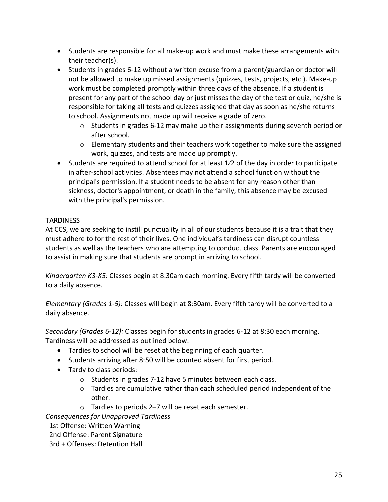- Students are responsible for all make-up work and must make these arrangements with their teacher(s).
- Students in grades 6-12 without a written excuse from a parent/guardian or doctor will not be allowed to make up missed assignments (quizzes, tests, projects, etc.). Make-up work must be completed promptly within three days of the absence. If a student is present for any part of the school day or just misses the day of the test or quiz, he/she is responsible for taking all tests and quizzes assigned that day as soon as he/she returns to school. Assignments not made up will receive a grade of zero.
	- o Students in grades 6-12 may make up their assignments during seventh period or after school.
	- $\circ$  Elementary students and their teachers work together to make sure the assigned work, quizzes, and tests are made up promptly.
- Students are required to attend school for at least 1/2 of the day in order to participate in after-school activities. Absentees may not attend a school function without the principal's permission. If a student needs to be absent for any reason other than sickness, doctor's appointment, or death in the family, this absence may be excused with the principal's permission.

### **TARDINESS**

At CCS, we are seeking to instill punctuality in all of our students because it is a trait that they must adhere to for the rest of their lives. One individual's tardiness can disrupt countless students as well as the teachers who are attempting to conduct class. Parents are encouraged to assist in making sure that students are prompt in arriving to school.

*Kindergarten K3-K5:* Classes begin at 8:30am each morning. Every fifth tardy will be converted to a daily absence.

*Elementary (Grades 1-5):* Classes will begin at 8:30am. Every fifth tardy will be converted to a daily absence.

*Secondary (Grades 6-12):* Classes begin for students in grades 6-12 at 8:30 each morning. Tardiness will be addressed as outlined below:

- Tardies to school will be reset at the beginning of each quarter.
- Students arriving after 8:50 will be counted absent for first period.
- Tardy to class periods:
	- o Students in grades 7-12 have 5 minutes between each class.
	- $\circ$  Tardies are cumulative rather than each scheduled period independent of the other.
	- o Tardies to periods 2–7 will be reset each semester.

*Consequences for Unapproved Tardiness*

1st Offense: Written Warning

2nd Offense: Parent Signature

3rd + Offenses: Detention Hall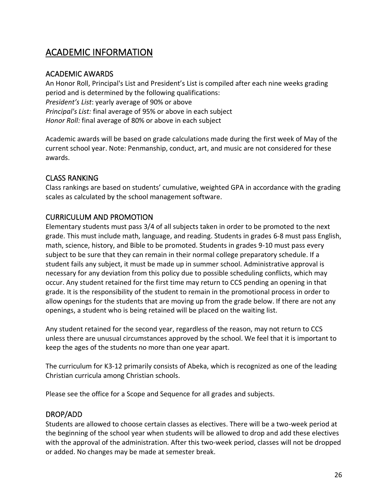# ACADEMIC INFORMATION

### ACADEMIC AWARDS

An Honor Roll, Principal's List and President's List is compiled after each nine weeks grading period and is determined by the following qualifications: *President's List*: yearly average of 90% or above *Principal's List:* final average of 95% or above in each subject *Honor Roll:* final average of 80% or above in each subject

Academic awards will be based on grade calculations made during the first week of May of the current school year. Note: Penmanship, conduct, art, and music are not considered for these awards.

# CLASS RANKING

Class rankings are based on students' cumulative, weighted GPA in accordance with the grading scales as calculated by the school management software.

### CURRICULUM AND PROMOTION

Elementary students must pass 3/4 of all subjects taken in order to be promoted to the next grade. This must include math, language, and reading. Students in grades 6-8 must pass English, math, science, history, and Bible to be promoted. Students in grades 9-10 must pass every subject to be sure that they can remain in their normal college preparatory schedule. If a student fails any subject, it must be made up in summer school. Administrative approval is necessary for any deviation from this policy due to possible scheduling conflicts, which may occur. Any student retained for the first time may return to CCS pending an opening in that grade. It is the responsibility of the student to remain in the promotional process in order to allow openings for the students that are moving up from the grade below. If there are not any openings, a student who is being retained will be placed on the waiting list.

Any student retained for the second year, regardless of the reason, may not return to CCS unless there are unusual circumstances approved by the school. We feel that it is important to keep the ages of the students no more than one year apart.

The curriculum for K3-12 primarily consists of Abeka, which is recognized as one of the leading Christian curricula among Christian schools.

Please see the office for a Scope and Sequence for all grades and subjects.

#### DROP/ADD

Students are allowed to choose certain classes as electives. There will be a two-week period at the beginning of the school year when students will be allowed to drop and add these electives with the approval of the administration. After this two-week period, classes will not be dropped or added. No changes may be made at semester break.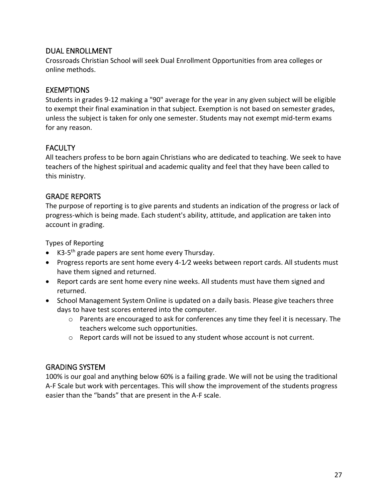### DUAL ENROLLMENT

Crossroads Christian School will seek Dual Enrollment Opportunities from area colleges or online methods.

### **EXEMPTIONS**

Students in grades 9-12 making a "90" average for the year in any given subject will be eligible to exempt their final examination in that subject. Exemption is not based on semester grades, unless the subject is taken for only one semester. Students may not exempt mid-term exams for any reason.

### FACULTY

All teachers profess to be born again Christians who are dedicated to teaching. We seek to have teachers of the highest spiritual and academic quality and feel that they have been called to this ministry.

### GRADE REPORTS

The purpose of reporting is to give parents and students an indication of the progress or lack of progress-which is being made. Each student's ability, attitude, and application are taken into account in grading.

Types of Reporting

- K3-5<sup>th</sup> grade papers are sent home every Thursday.
- Progress reports are sent home every 4-1⁄2 weeks between report cards. All students must have them signed and returned.
- Report cards are sent home every nine weeks. All students must have them signed and returned.
- School Management System Online is updated on a daily basis. Please give teachers three days to have test scores entered into the computer.
	- $\circ$  Parents are encouraged to ask for conferences any time they feel it is necessary. The teachers welcome such opportunities.
	- $\circ$  Report cards will not be issued to any student whose account is not current.

#### GRADING SYSTEM

100% is our goal and anything below 60% is a failing grade. We will not be using the traditional A-F Scale but work with percentages. This will show the improvement of the students progress easier than the "bands" that are present in the A-F scale.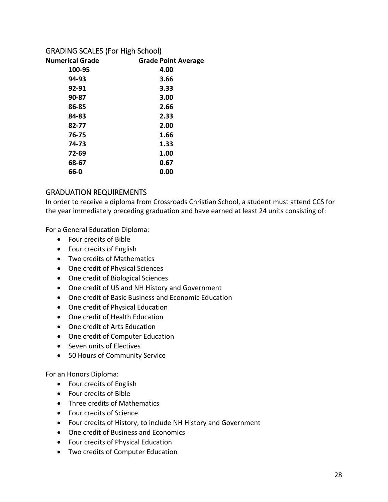#### GRADING SCALES (For High School)

| <b>Grade Point Average</b> |
|----------------------------|
| 4.00                       |
| 3.66                       |
| 3.33                       |
| 3.00                       |
| 2.66                       |
| 2.33                       |
| 2.00                       |
| 1.66                       |
| 1.33                       |
| 1.00                       |
| 0.67                       |
| 0.00                       |
|                            |

# GRADUATION REQUIREMENTS

In order to receive a diploma from Crossroads Christian School, a student must attend CCS for the year immediately preceding graduation and have earned at least 24 units consisting of:

For a General Education Diploma:

- Four credits of Bible
- Four credits of English
- Two credits of Mathematics
- One credit of Physical Sciences
- One credit of Biological Sciences
- One credit of US and NH History and Government
- One credit of Basic Business and Economic Education
- One credit of Physical Education
- One credit of Health Education
- One credit of Arts Education
- One credit of Computer Education
- Seven units of Electives
- 50 Hours of Community Service

For an Honors Diploma:

- Four credits of English
- Four credits of Bible
- Three credits of Mathematics
- Four credits of Science
- Four credits of History, to include NH History and Government
- One credit of Business and Economics
- Four credits of Physical Education
- Two credits of Computer Education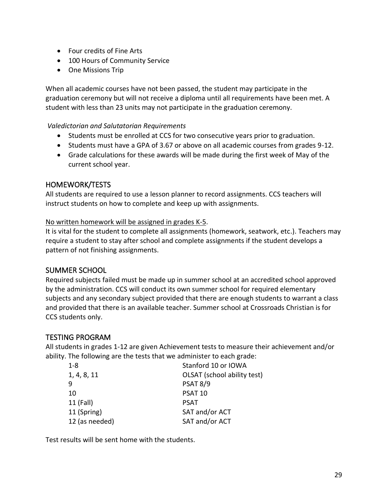- Four credits of Fine Arts
- 100 Hours of Community Service
- One Missions Trip

When all academic courses have not been passed, the student may participate in the graduation ceremony but will not receive a diploma until all requirements have been met. A student with less than 23 units may not participate in the graduation ceremony.

#### *Valedictorian and Salutatorian Requirements*

- Students must be enrolled at CCS for two consecutive years prior to graduation.
- Students must have a GPA of 3.67 or above on all academic courses from grades 9-12.
- Grade calculations for these awards will be made during the first week of May of the current school year.

#### HOMEWORK/TESTS

All students are required to use a lesson planner to record assignments. CCS teachers will instruct students on how to complete and keep up with assignments.

No written homework will be assigned in grades K-5.

It is vital for the student to complete all assignments (homework, seatwork, etc.). Teachers may require a student to stay after school and complete assignments if the student develops a pattern of not finishing assignments.

# SUMMER SCHOOL

Required subjects failed must be made up in summer school at an accredited school approved by the administration. CCS will conduct its own summer school for required elementary subjects and any secondary subject provided that there are enough students to warrant a class and provided that there is an available teacher. Summer school at Crossroads Christian is for CCS students only.

# TESTING PROGRAM

All students in grades 1-12 are given Achievement tests to measure their achievement and/or ability. The following are the tests that we administer to each grade:

| $1 - 8$        | Stanford 10 or IOWA         |
|----------------|-----------------------------|
| 1, 4, 8, 11    | OLSAT (school ability test) |
| 9              | <b>PSAT 8/9</b>             |
| 10             | <b>PSAT 10</b>              |
| 11 (Fall)      | <b>PSAT</b>                 |
| 11 (Spring)    | SAT and/or ACT              |
| 12 (as needed) | SAT and/or ACT              |
|                |                             |

Test results will be sent home with the students.